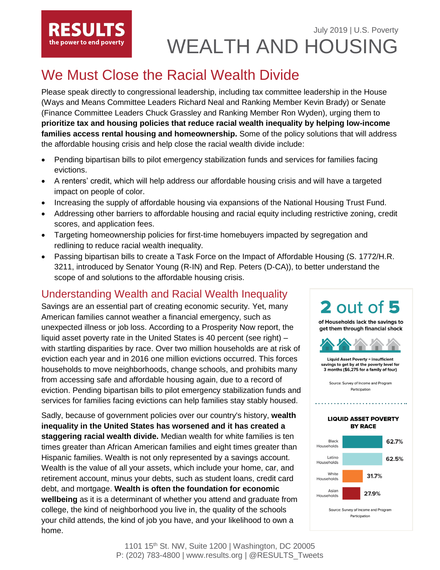# July 2019 | U.S. Poverty WEALTH AND HOUSING

# We Must Close the Racial Wealth Divide

the power to end poverty

Please speak directly to congressional leadership, including tax committee leadership in the House (Ways and Means Committee Leaders Richard Neal and Ranking Member Kevin Brady) or Senate (Finance Committee Leaders Chuck Grassley and Ranking Member Ron Wyden), urging them to **prioritize tax and housing policies that reduce racial wealth inequality by helping low-income families access rental housing and homeownership.** Some of the policy solutions that will address the affordable housing crisis and help close the racial wealth divide include:

- Pending bipartisan bills to pilot emergency stabilization funds and services for families facing evictions.
- A renters' credit, which will help address our affordable housing crisis and will have a targeted impact on people of color.
- Increasing the supply of affordable housing via expansions of the National Housing Trust Fund.
- Addressing other barriers to affordable housing and racial equity including restrictive zoning, credit scores, and application fees.
- Targeting homeownership policies for first-time homebuyers impacted by segregation and redlining to reduce racial wealth inequality.
- Passing bipartisan bills to create a Task Force on the Impact of Affordable Housing (S. 1772/H.R. 3211, introduced by Senator Young (R-IN) and Rep. Peters (D-CA)), to better understand the scope of and solutions to the affordable housing crisis.

## Understanding Wealth and Racial Wealth Inequality

Savings are an essential part of creating economic security. Yet, many American families cannot weather a financial emergency, such as unexpected illness or job loss. According to a Prosperity Now report, the liquid asset poverty rate in the United States is [40 percent](https://prosperitynow.org/files/resources/2018-Prosperity-Now-Scorecard-Main-Findings-Report_0.pdf) (see right) – with startling disparities by race. Over two million households are at risk of eviction each year and in 2016 one million evictions occurred. This forces households to move neighborhoods, change schools, and prohibits many from accessing safe and affordable housing again, due to a record of eviction. Pending bipartisan bills to pilot emergency stabilization funds and services for families facing evictions can help families stay stably housed.

Sadly, because of government policies over our country's history, **wealth inequality in the United States has worsened and it has created a staggering racial wealth divide.** Median wealth for white families is ten times greater than African American families and eight times greater than Hispanic families. Wealth is not only represented by a savings account. Wealth is the value of all your assets, which include your home, car, and retirement account, minus your debts, such as student loans, credit card debt, and mortgage. **Wealth is often the foundation for economic wellbeing** as it is a determinant of whether you attend and graduate from college, the kind of neighborhood you live in, the quality of the schools your child attends, the kind of job you have, and your likelihood to own a home.